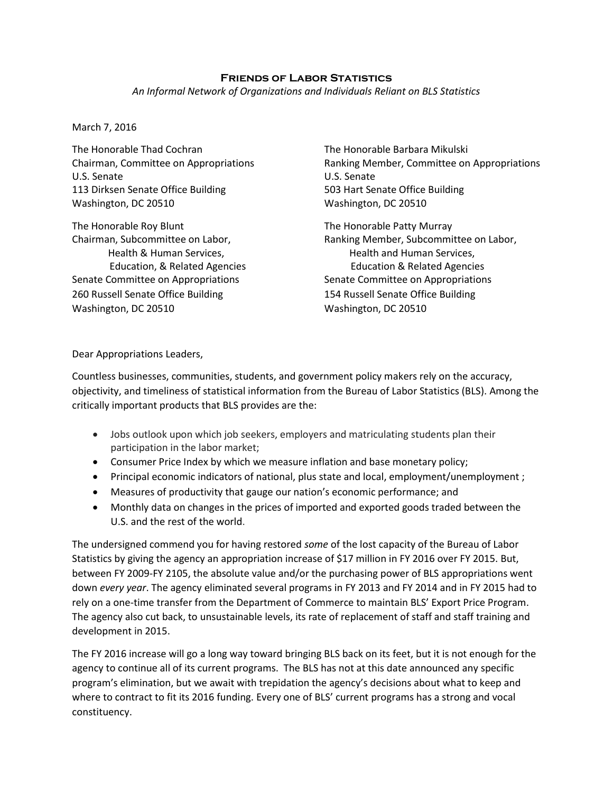## **Friends of Labor Statistics**

*An Informal Network of Organizations and Individuals Reliant on BLS Statistics*

## March 7, 2016

The Honorable Thad Cochran The Honorable Barbara Mikulski U.S. Senate U.S. Senate 113 Dirksen Senate Office Building 503 Hart Senate Office Building Washington, DC 20510 Washington, DC 20510

The Honorable Roy Blunt The Honorable Patty Murray Senate Committee on Appropriations Senate Committee on Appropriations 260 Russell Senate Office Building 154 Russell Senate Office Building Washington, DC 20510 Washington, DC 20510

Chairman, Committee on Appropriations Ranking Member, Committee on Appropriations

Chairman, Subcommittee on Labor, Ranking Member, Subcommittee on Labor, Health & Human Services, Thealth and Human Services, Education, & Related Agencies Education & Related Agencies

Dear Appropriations Leaders,

Countless businesses, communities, students, and government policy makers rely on the accuracy, objectivity, and timeliness of statistical information from the Bureau of Labor Statistics (BLS). Among the critically important products that BLS provides are the:

- Jobs outlook upon which job seekers, employers and matriculating students plan their participation in the labor market;
- Consumer Price Index by which we measure inflation and base monetary policy;
- Principal economic indicators of national, plus state and local, employment/unemployment ;
- Measures of productivity that gauge our nation's economic performance; and
- Monthly data on changes in the prices of imported and exported goods traded between the U.S. and the rest of the world.

The undersigned commend you for having restored *some* of the lost capacity of the Bureau of Labor Statistics by giving the agency an appropriation increase of \$17 million in FY 2016 over FY 2015. But, between FY 2009-FY 2105, the absolute value and/or the purchasing power of BLS appropriations went down *every year*. The agency eliminated several programs in FY 2013 and FY 2014 and in FY 2015 had to rely on a one-time transfer from the Department of Commerce to maintain BLS' Export Price Program. The agency also cut back, to unsustainable levels, its rate of replacement of staff and staff training and development in 2015.

The FY 2016 increase will go a long way toward bringing BLS back on its feet, but it is not enough for the agency to continue all of its current programs. The BLS has not at this date announced any specific program's elimination, but we await with trepidation the agency's decisions about what to keep and where to contract to fit its 2016 funding. Every one of BLS' current programs has a strong and vocal constituency.